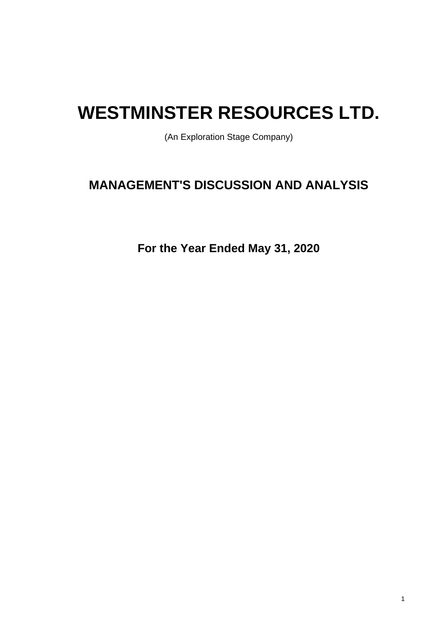# **WESTMINSTER RESOURCES LTD.**

(An Exploration Stage Company)

# **MANAGEMENT'S DISCUSSION AND ANALYSIS**

**For the Year Ended May 31, 2020**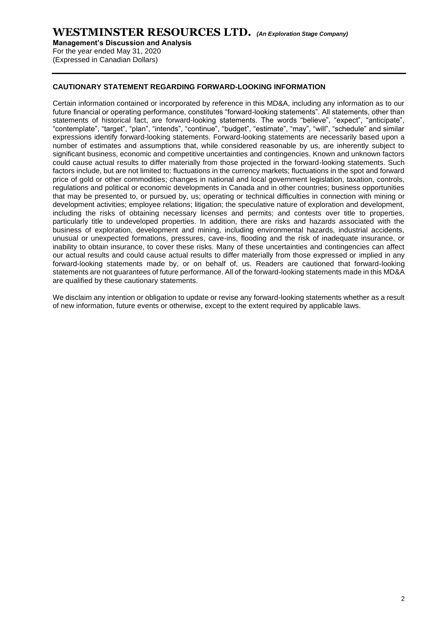**Management's Discussion and Analysis** 

For the year ended May 31, 2020 (Expressed in Canadian Dollars)

#### **CAUTIONARY STATEMENT REGARDING FORWARD-LOOKING INFORMATION**

Certain information contained or incorporated by reference in this MD&A, including any information as to our future financial or operating performance, constitutes "forward-looking statements". All statements, other than statements of historical fact, are forward-looking statements. The words "believe", "expect", "anticipate", "contemplate", "target", "plan", "intends", "continue", "budget", "estimate", "may", "will", "schedule" and similar expressions identify forward-looking statements. Forward-looking statements are necessarily based upon a number of estimates and assumptions that, while considered reasonable by us, are inherently subject to significant business, economic and competitive uncertainties and contingencies. Known and unknown factors could cause actual results to differ materially from those projected in the forward-looking statements. Such factors include, but are not limited to: fluctuations in the currency markets; fluctuations in the spot and forward price of gold or other commodities; changes in national and local government legislation, taxation, controls, regulations and political or economic developments in Canada and in other countries; business opportunities that may be presented to, or pursued by, us; operating or technical difficulties in connection with mining or development activities; employee relations; litigation; the speculative nature of exploration and development, including the risks of obtaining necessary licenses and permits; and contests over title to properties, particularly title to undeveloped properties. In addition, there are risks and hazards associated with the business of exploration, development and mining, including environmental hazards, industrial accidents, unusual or unexpected formations, pressures, cave-ins, flooding and the risk of inadequate insurance, or inability to obtain insurance, to cover these risks. Many of these uncertainties and contingencies can affect our actual results and could cause actual results to differ materially from those expressed or implied in any forward-looking statements made by, or on behalf of, us. Readers are cautioned that forward-looking statements are not guarantees of future performance. All of the forward-looking statements made in this MD&A are qualified by these cautionary statements.

We disclaim any intention or obligation to update or revise any forward-looking statements whether as a result of new information, future events or otherwise, except to the extent required by applicable laws.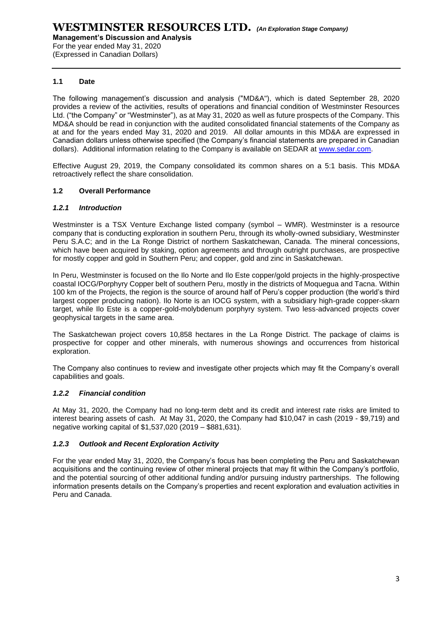(Expressed in Canadian Dollars)

#### **1.1 Date**

The following management's discussion and analysis ("MD&A"), which is dated September 28, 2020 provides a review of the activities, results of operations and financial condition of Westminster Resources Ltd. ("the Company" or "Westminster"), as at May 31, 2020 as well as future prospects of the Company. This MD&A should be read in conjunction with the audited consolidated financial statements of the Company as at and for the years ended May 31, 2020 and 2019. All dollar amounts in this MD&A are expressed in Canadian dollars unless otherwise specified (the Company's financial statements are prepared in Canadian dollars). Additional information relating to the Company is available on SEDAR at [www.sedar.com.](http://www.sedar.com/)

Effective August 29, 2019, the Company consolidated its common shares on a 5:1 basis. This MD&A retroactively reflect the share consolidation.

#### **1.2 Overall Performance**

#### *1.2.1 Introduction*

Westminster is a TSX Venture Exchange listed company (symbol – WMR). Westminster is a resource company that is conducting exploration in southern Peru, through its wholly-owned subsidiary, Westminster Peru S.A.C; and in the La Ronge District of northern Saskatchewan, Canada. The mineral concessions, which have been acquired by staking, option agreements and through outright purchases, are prospective for mostly copper and gold in Southern Peru; and copper, gold and zinc in Saskatchewan.

In Peru, Westminster is focused on the Ilo Norte and Ilo Este copper/gold projects in the highly-prospective coastal IOCG/Porphyry Copper belt of southern Peru, mostly in the districts of Moquegua and Tacna. Within 100 km of the Projects, the region is the source of around half of Peru's copper production (the world's third largest copper producing nation). Ilo Norte is an IOCG system, with a subsidiary high-grade copper-skarn target, while Ilo Este is a copper-gold-molybdenum porphyry system. Two less-advanced projects cover geophysical targets in the same area.

The Saskatchewan project covers 10,858 hectares in the La Ronge District. The package of claims is prospective for copper and other minerals, with numerous showings and occurrences from historical exploration.

The Company also continues to review and investigate other projects which may fit the Company's overall capabilities and goals.

#### *1.2.2 Financial condition*

At May 31, 2020, the Company had no long-term debt and its credit and interest rate risks are limited to interest bearing assets of cash. At May 31, 2020, the Company had \$10,047 in cash (2019 - \$9,719) and negative working capital of \$1,537,020 (2019 – \$881,631).

#### *1.2.3 Outlook and Recent Exploration Activity*

For the year ended May 31, 2020, the Company's focus has been completing the Peru and Saskatchewan acquisitions and the continuing review of other mineral projects that may fit within the Company's portfolio, and the potential sourcing of other additional funding and/or pursuing industry partnerships. The following information presents details on the Company's properties and recent exploration and evaluation activities in Peru and Canada.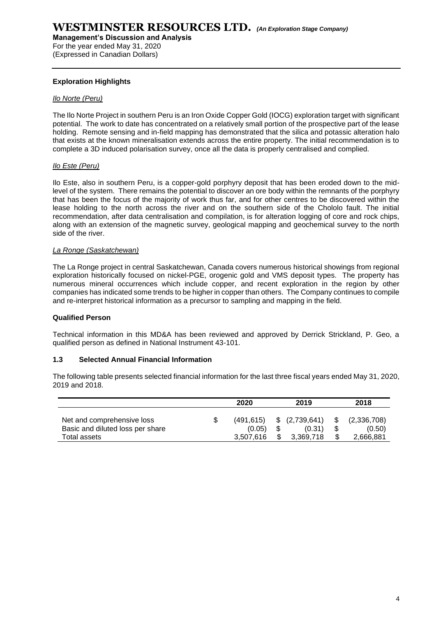(Expressed in Canadian Dollars)

#### **Exploration Highlights**

#### *Ilo Norte (Peru)*

The Ilo Norte Project in southern Peru is an Iron Oxide Copper Gold (IOCG) exploration target with significant potential. The work to date has concentrated on a relatively small portion of the prospective part of the lease holding. Remote sensing and in-field mapping has demonstrated that the silica and potassic alteration halo that exists at the known mineralisation extends across the entire property. The initial recommendation is to complete a 3D induced polarisation survey, once all the data is properly centralised and complied.

#### *Ilo Este (Peru)*

Ilo Este, also in southern Peru, is a copper-gold porphyry deposit that has been eroded down to the midlevel of the system. There remains the potential to discover an ore body within the remnants of the porphyry that has been the focus of the majority of work thus far, and for other centres to be discovered within the lease holding to the north across the river and on the southern side of the Chololo fault. The initial recommendation, after data centralisation and compilation, is for alteration logging of core and rock chips, along with an extension of the magnetic survey, geological mapping and geochemical survey to the north side of the river.

#### *La Ronge (Saskatchewan)*

The La Ronge project in central Saskatchewan, Canada covers numerous historical showings from regional exploration historically focused on nickel-PGE, orogenic gold and VMS deposit types. The property has numerous mineral occurrences which include copper, and recent exploration in the region by other companies has indicated some trends to be higher in copper than others. The Company continues to compile and re-interpret historical information as a precursor to sampling and mapping in the field.

#### **Qualified Person**

Technical information in this MD&A has been reviewed and approved by Derrick Strickland, P. Geo, a qualified person as defined in National Instrument 43-101.

#### **1.3 Selected Annual Financial Information**

The following table presents selected financial information for the last three fiscal years ended May 31, 2020, 2019 and 2018.

|                                                                                | 2020<br>2019                     |  |                                           | 2018 |                                    |
|--------------------------------------------------------------------------------|----------------------------------|--|-------------------------------------------|------|------------------------------------|
| Net and comprehensive loss<br>Basic and diluted loss per share<br>Total assets | (491.615)<br>(0.05)<br>3.507.616 |  | $$^{(2,739,641)}$$<br>(0.31)<br>3.369.718 |      | (2,336,708)<br>(0.50)<br>2,666,881 |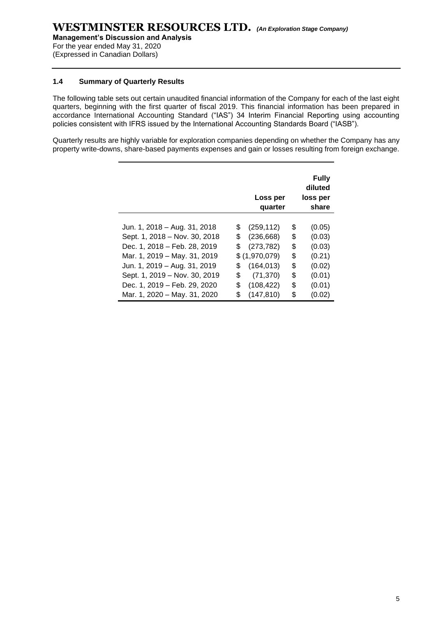(Expressed in Canadian Dollars)

#### **1.4 Summary of Quarterly Results**

The following table sets out certain unaudited financial information of the Company for each of the last eight quarters, beginning with the first quarter of fiscal 2019. This financial information has been prepared in accordance International Accounting Standard ("IAS") 34 Interim Financial Reporting using accounting policies consistent with IFRS issued by the International Accounting Standards Board ("IASB").

Quarterly results are highly variable for exploration companies depending on whether the Company has any property write-downs, share-based payments expenses and gain or losses resulting from foreign exchange.

|                               |    | Loss per<br>quarter | <b>Fully</b><br>diluted<br>loss per<br>share |
|-------------------------------|----|---------------------|----------------------------------------------|
|                               |    |                     |                                              |
| Jun. 1, 2018 – Aug. 31, 2018  | S  | (259, 112)          | \$<br>(0.05)                                 |
| Sept. 1, 2018 – Nov. 30, 2018 | \$ | (236, 668)          | \$<br>(0.03)                                 |
| Dec. 1, 2018 - Feb. 28, 2019  | \$ | (273, 782)          | \$<br>(0.03)                                 |
| Mar. 1, 2019 - May. 31, 2019  |    | \$(1,970,079)       | \$<br>(0.21)                                 |
| Jun. 1, 2019 - Aug. 31, 2019  | \$ | (164, 013)          | \$<br>(0.02)                                 |
| Sept. 1, 2019 - Nov. 30, 2019 | \$ | (71, 370)           | \$<br>(0.01)                                 |
| Dec. 1, 2019 - Feb. 29, 2020  | \$ | (108, 422)          | \$<br>(0.01)                                 |
| Mar. 1, 2020 - May. 31, 2020  | \$ | (147, 810)          | \$<br>(0.02)                                 |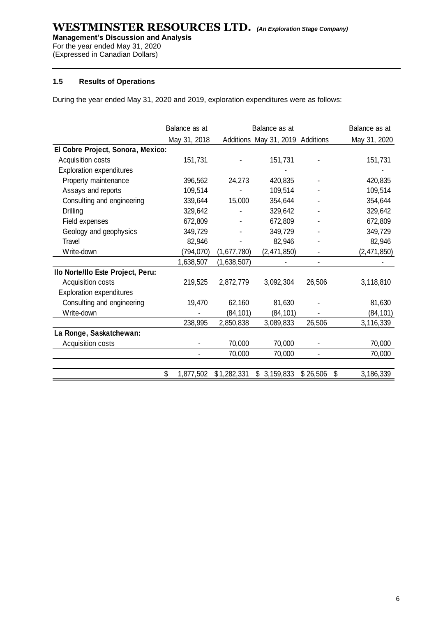**Management's Discussion and Analysis** 

For the year ended May 31, 2020 (Expressed in Canadian Dollars)

#### **1.5 Results of Operations**

During the year ended May 31, 2020 and 2019, exploration expenditures were as follows:

|                                   | Balance as at   | Balance as at |                                  | Balance as at |                 |
|-----------------------------------|-----------------|---------------|----------------------------------|---------------|-----------------|
|                                   | May 31, 2018    |               | Additions May 31, 2019 Additions |               | May 31, 2020    |
| El Cobre Project, Sonora, Mexico: |                 |               |                                  |               |                 |
| Acquisition costs                 | 151,731         |               | 151,731                          |               | 151,731         |
| <b>Exploration expenditures</b>   |                 |               |                                  |               |                 |
| Property maintenance              | 396,562         | 24,273        | 420,835                          |               | 420,835         |
| Assays and reports                | 109,514         |               | 109,514                          |               | 109,514         |
| Consulting and engineering        | 339,644         | 15,000        | 354,644                          |               | 354,644         |
| <b>Drilling</b>                   | 329,642         |               | 329,642                          |               | 329,642         |
| Field expenses                    | 672,809         |               | 672,809                          |               | 672,809         |
| Geology and geophysics            | 349,729         |               | 349,729                          |               | 349,729         |
| Travel                            | 82,946          |               | 82,946                           |               | 82,946          |
| Write-down                        | (794,070)       | (1,677,780)   | (2,471,850)                      |               | (2,471,850)     |
|                                   | 1,638,507       | (1,638,507)   |                                  |               |                 |
| Ilo Norte/Ilo Este Project, Peru: |                 |               |                                  |               |                 |
| Acquisition costs                 | 219,525         | 2,872,779     | 3,092,304                        | 26,506        | 3,118,810       |
| <b>Exploration expenditures</b>   |                 |               |                                  |               |                 |
| Consulting and engineering        | 19,470          | 62,160        | 81,630                           |               | 81,630          |
| Write-down                        |                 | (84, 101)     | (84, 101)                        |               | (84, 101)       |
|                                   | 238,995         | 2,850,838     | 3,089,833                        | 26,506        | 3,116,339       |
| La Ronge, Saskatchewan:           |                 |               |                                  |               |                 |
| Acquisition costs                 |                 | 70,000        | 70,000                           |               | 70,000          |
|                                   |                 | 70,000        | 70,000                           |               | 70,000          |
|                                   |                 |               |                                  |               |                 |
|                                   | \$<br>1,877,502 | \$1,282,331   | \$3,159,833                      | \$26,506      | \$<br>3,186,339 |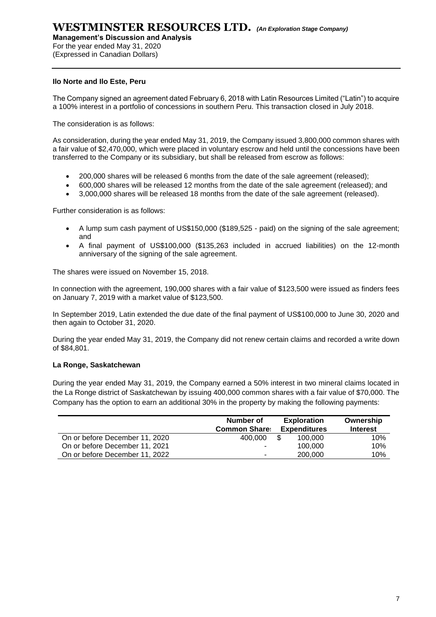**Management's Discussion and Analysis** 

For the year ended May 31, 2020 (Expressed in Canadian Dollars)

#### **Ilo Norte and Ilo Este, Peru**

The Company signed an agreement dated February 6, 2018 with Latin Resources Limited ("Latin") to acquire a 100% interest in a portfolio of concessions in southern Peru. This transaction closed in July 2018.

The consideration is as follows:

As consideration, during the year ended May 31, 2019, the Company issued 3,800,000 common shares with a fair value of \$2,470,000, which were placed in voluntary escrow and held until the concessions have been transferred to the Company or its subsidiary, but shall be released from escrow as follows:

- 200,000 shares will be released 6 months from the date of the sale agreement (released);
- 600,000 shares will be released 12 months from the date of the sale agreement (released); and
- 3,000,000 shares will be released 18 months from the date of the sale agreement (released).

Further consideration is as follows:

- A lump sum cash payment of US\$150,000 (\$189,525 paid) on the signing of the sale agreement; and
- A final payment of US\$100,000 (\$135,263 included in accrued liabilities) on the 12-month anniversary of the signing of the sale agreement.

The shares were issued on November 15, 2018.

In connection with the agreement, 190,000 shares with a fair value of \$123,500 were issued as finders fees on January 7, 2019 with a market value of \$123,500.

In September 2019, Latin extended the due date of the final payment of US\$100,000 to June 30, 2020 and then again to October 31, 2020.

During the year ended May 31, 2019, the Company did not renew certain claims and recorded a write down of \$84,801.

#### **La Ronge, Saskatchewan**

During the year ended May 31, 2019, the Company earned a 50% interest in two mineral claims located in the La Ronge district of Saskatchewan by issuing 400,000 common shares with a fair value of \$70,000. The Company has the option to earn an additional 30% in the property by making the following payments:

|                                | Number of<br><b>Common Share:</b> |     | <b>Exploration</b><br><b>Expenditures</b> | Ownership<br><b>Interest</b> |
|--------------------------------|-----------------------------------|-----|-------------------------------------------|------------------------------|
| On or before December 11, 2020 | 400.000                           | \$. | 100.000                                   | 10%                          |
| On or before December 11, 2021 | ۰.                                |     | 100,000                                   | 10%                          |
| On or before December 11, 2022 | ۰.                                |     | 200,000                                   | 10%                          |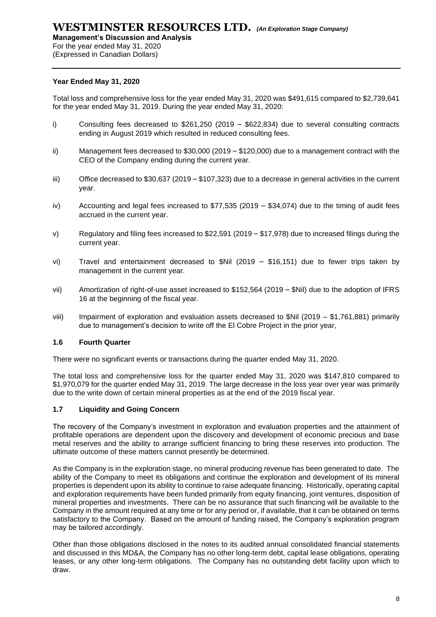**Management's Discussion and Analysis** 

For the year ended May 31, 2020

(Expressed in Canadian Dollars)

#### **Year Ended May 31, 2020**

Total loss and comprehensive loss for the year ended May 31, 2020 was \$491,615 compared to \$2,739,641 for the year ended May 31, 2019. During the year ended May 31, 2020:

- i) Consulting fees decreased to \$261,250 (2019 \$622,834) due to several consulting contracts ending in August 2019 which resulted in reduced consulting fees.
- ii) Management fees decreased to \$30,000 (2019 \$120,000) due to a management contract with the CEO of the Company ending during the current year.
- iii) Office decreased to \$30,637 (2019 \$107,323) due to a decrease in general activities in the current year.
- iv) Accounting and legal fees increased to \$77,535 (2019 \$34,074) due to the timing of audit fees accrued in the current year.
- v) Regulatory and filing fees increased to \$22,591 (2019 \$17,978) due to increased filings during the current year.
- vi) Travel and entertainment decreased to \$Nil (2019 \$16,151) due to fewer trips taken by management in the current year.
- vii) Amortization of right-of-use asset increased to \$152,564 (2019 \$Nil) due to the adoption of IFRS 16 at the beginning of the fiscal year.
- viii) Impairment of exploration and evaluation assets decreased to \$Nil (2019 \$1,761,881) primarily due to management's decision to write off the El Cobre Project in the prior year,

#### **1.6 Fourth Quarter**

There were no significant events or transactions during the quarter ended May 31, 2020.

The total loss and comprehensive loss for the quarter ended May 31, 2020 was \$147,810 compared to \$1,970,079 for the quarter ended May 31, 2019. The large decrease in the loss year over year was primarily due to the write down of certain mineral properties as at the end of the 2019 fiscal year.

#### **1.7 Liquidity and Going Concern**

The recovery of the Company's investment in exploration and evaluation properties and the attainment of profitable operations are dependent upon the discovery and development of economic precious and base metal reserves and the ability to arrange sufficient financing to bring these reserves into production. The ultimate outcome of these matters cannot presently be determined.

As the Company is in the exploration stage, no mineral producing revenue has been generated to date. The ability of the Company to meet its obligations and continue the exploration and development of its mineral properties is dependent upon its ability to continue to raise adequate financing. Historically, operating capital and exploration requirements have been funded primarily from equity financing, joint ventures, disposition of mineral properties and investments. There can be no assurance that such financing will be available to the Company in the amount required at any time or for any period or, if available, that it can be obtained on terms satisfactory to the Company. Based on the amount of funding raised, the Company's exploration program may be tailored accordingly.

Other than those obligations disclosed in the notes to its audited annual consolidated financial statements and discussed in this MD&A, the Company has no other long-term debt, capital lease obligations, operating leases, or any other long-term obligations. The Company has no outstanding debt facility upon which to draw.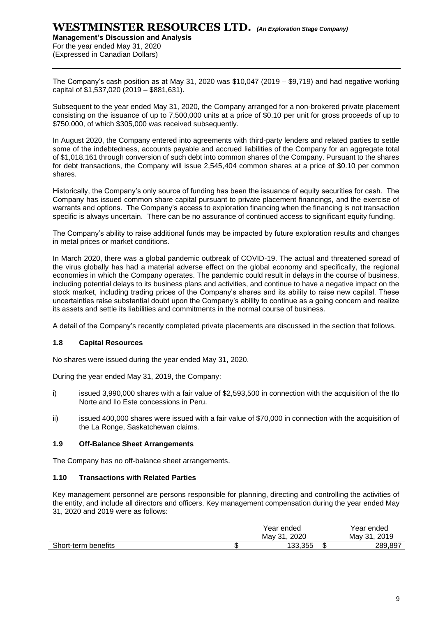**Management's Discussion and Analysis**  For the year ended May 31, 2020

(Expressed in Canadian Dollars)

The Company's cash position as at May 31, 2020 was \$10,047 (2019 – \$9,719) and had negative working capital of \$1,537,020 (2019 – \$881,631).

Subsequent to the year ended May 31, 2020, the Company arranged for a non-brokered private placement consisting on the issuance of up to 7,500,000 units at a price of \$0.10 per unit for gross proceeds of up to \$750,000, of which \$305,000 was received subsequently.

In August 2020, the Company entered into agreements with third-party lenders and related parties to settle some of the indebtedness, accounts payable and accrued liabilities of the Company for an aggregate total of \$1,018,161 through conversion of such debt into common shares of the Company. Pursuant to the shares for debt transactions, the Company will issue 2,545,404 common shares at a price of \$0.10 per common shares.

Historically, the Company's only source of funding has been the issuance of equity securities for cash. The Company has issued common share capital pursuant to private placement financings, and the exercise of warrants and options. The Company's access to exploration financing when the financing is not transaction specific is always uncertain. There can be no assurance of continued access to significant equity funding.

The Company's ability to raise additional funds may be impacted by future exploration results and changes in metal prices or market conditions.

In March 2020, there was a global pandemic outbreak of COVID-19. The actual and threatened spread of the virus globally has had a material adverse effect on the global economy and specifically, the regional economies in which the Company operates. The pandemic could result in delays in the course of business, including potential delays to its business plans and activities, and continue to have a negative impact on the stock market, including trading prices of the Company's shares and its ability to raise new capital. These uncertainties raise substantial doubt upon the Company's ability to continue as a going concern and realize its assets and settle its liabilities and commitments in the normal course of business.

A detail of the Company's recently completed private placements are discussed in the section that follows.

#### **1.8 Capital Resources**

No shares were issued during the year ended May 31, 2020.

During the year ended May 31, 2019, the Company:

- i) issued 3,990,000 shares with a fair value of \$2,593,500 in connection with the acquisition of the Ilo Norte and Ilo Este concessions in Peru.
- ii) issued 400,000 shares were issued with a fair value of \$70,000 in connection with the acquisition of the La Ronge, Saskatchewan claims.

#### **1.9 Off-Balance Sheet Arrangements**

The Company has no off-balance sheet arrangements.

#### **1.10 Transactions with Related Parties**

Key management personnel are persons responsible for planning, directing and controlling the activities of the entity, and include all directors and officers. Key management compensation during the year ended May 31, 2020 and 2019 were as follows:

|                     | Year ended     |        | Year ended     |
|---------------------|----------------|--------|----------------|
|                     | 2020<br>May 31 |        | 2019<br>May 31 |
| Short-term benefits | 133.355        | ሖ<br>Œ | 289,897        |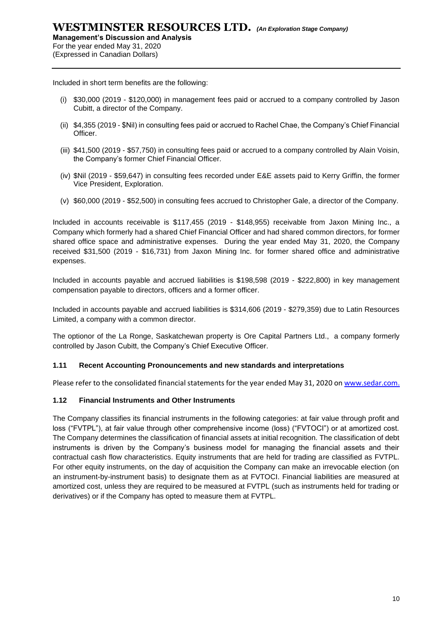Included in short term benefits are the following:

- (i) \$30,000 (2019 \$120,000) in management fees paid or accrued to a company controlled by Jason Cubitt, a director of the Company.
- (ii) \$4,355 (2019 \$Nil) in consulting fees paid or accrued to Rachel Chae, the Company's Chief Financial Officer.
- (iii) \$41,500 (2019 \$57,750) in consulting fees paid or accrued to a company controlled by Alain Voisin, the Company's former Chief Financial Officer.
- (iv) \$Nil (2019 \$59,647) in consulting fees recorded under E&E assets paid to Kerry Griffin, the former Vice President, Exploration.
- (v) \$60,000 (2019 \$52,500) in consulting fees accrued to Christopher Gale, a director of the Company.

Included in accounts receivable is \$117,455 (2019 - \$148,955) receivable from Jaxon Mining Inc., a Company which formerly had a shared Chief Financial Officer and had shared common directors, for former shared office space and administrative expenses. During the year ended May 31, 2020, the Company received \$31,500 (2019 - \$16,731) from Jaxon Mining Inc. for former shared office and administrative expenses.

Included in accounts payable and accrued liabilities is \$198,598 (2019 - \$222,800) in key management compensation payable to directors, officers and a former officer.

Included in accounts payable and accrued liabilities is \$314,606 (2019 - \$279,359) due to Latin Resources Limited, a company with a common director.

The optionor of the La Ronge, Saskatchewan property is Ore Capital Partners Ltd., a company formerly controlled by Jason Cubitt, the Company's Chief Executive Officer.

#### **1.11 Recent Accounting Pronouncements and new standards and interpretations**

Please refer to the consolidated financial statements for the year ended May 31, 2020 o[n www.sedar.com.](http://www.sedar.com/)

#### **1.12 Financial Instruments and Other Instruments**

The Company classifies its financial instruments in the following categories: at fair value through profit and loss ("FVTPL"), at fair value through other comprehensive income (loss) ("FVTOCI") or at amortized cost. The Company determines the classification of financial assets at initial recognition. The classification of debt instruments is driven by the Company's business model for managing the financial assets and their contractual cash flow characteristics. Equity instruments that are held for trading are classified as FVTPL. For other equity instruments, on the day of acquisition the Company can make an irrevocable election (on an instrument-by-instrument basis) to designate them as at FVTOCI. Financial liabilities are measured at amortized cost, unless they are required to be measured at FVTPL (such as instruments held for trading or derivatives) or if the Company has opted to measure them at FVTPL.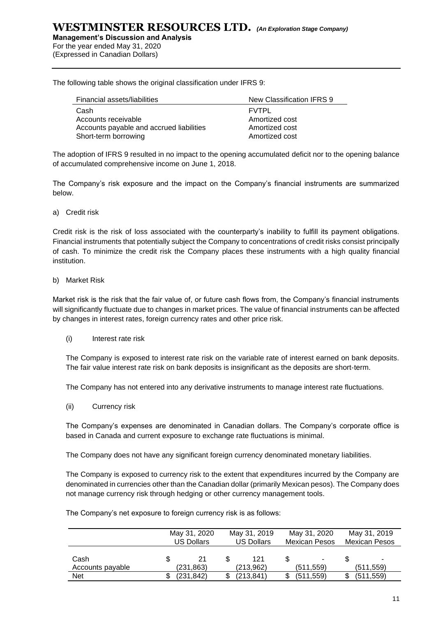**Management's Discussion and Analysis**  For the year ended May 31, 2020

(Expressed in Canadian Dollars)

The following table shows the original classification under IFRS 9:

| Financial assets/liabilities             | New Classification IFRS 9 |
|------------------------------------------|---------------------------|
| Cash                                     | <b>FVTPL</b>              |
| Accounts receivable                      | Amortized cost            |
| Accounts payable and accrued liabilities | Amortized cost            |
| Short-term borrowing                     | Amortized cost            |

The adoption of IFRS 9 resulted in no impact to the opening accumulated deficit nor to the opening balance of accumulated comprehensive income on June 1, 2018.

The Company's risk exposure and the impact on the Company's financial instruments are summarized below.

a) Credit risk

Credit risk is the risk of loss associated with the counterparty's inability to fulfill its payment obligations. Financial instruments that potentially subject the Company to concentrations of credit risks consist principally of cash. To minimize the credit risk the Company places these instruments with a high quality financial institution.

#### b) Market Risk

Market risk is the risk that the fair value of, or future cash flows from, the Company's financial instruments will significantly fluctuate due to changes in market prices. The value of financial instruments can be affected by changes in interest rates, foreign currency rates and other price risk.

(i) Interest rate risk

The Company is exposed to interest rate risk on the variable rate of interest earned on bank deposits. The fair value interest rate risk on bank deposits is insignificant as the deposits are short‐term.

The Company has not entered into any derivative instruments to manage interest rate fluctuations.

(ii) Currency risk

The Company's expenses are denominated in Canadian dollars. The Company's corporate office is based in Canada and current exposure to exchange rate fluctuations is minimal.

The Company does not have any significant foreign currency denominated monetary liabilities.

The Company is exposed to currency risk to the extent that expenditures incurred by the Company are denominated in currencies other than the Canadian dollar (primarily Mexican pesos). The Company does not manage currency risk through hedging or other currency management tools.

The Company's net exposure to foreign currency risk is as follows:

|                          | May 31, 2020<br>US Dollars |   | May 31, 2019<br><b>US Dollars</b> |  | May 31, 2020<br><b>Mexican Pesos</b> |  | May 31, 2019<br><b>Mexican Pesos</b> |
|--------------------------|----------------------------|---|-----------------------------------|--|--------------------------------------|--|--------------------------------------|
| Cash<br>Accounts payable | 21<br>(231, 863)           |   | 121<br>(213,962)                  |  | ۰<br>(511, 559)                      |  | (511, 559)                           |
| Net                      | (231.842)                  | S | (213, 841)                        |  | (511, 559)                           |  | (511, 559)                           |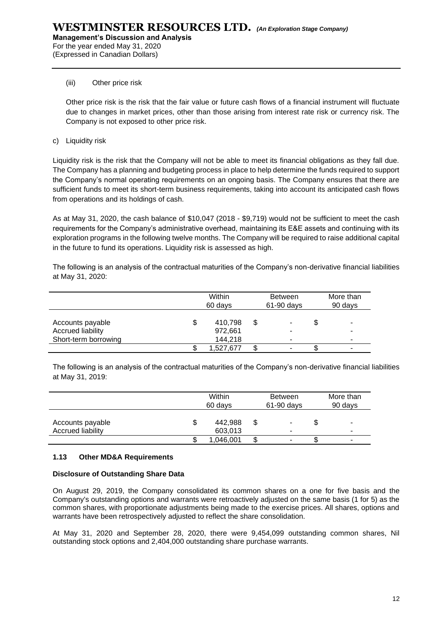(Expressed in Canadian Dollars)

#### (iii) Other price risk

Other price risk is the risk that the fair value or future cash flows of a financial instrument will fluctuate due to changes in market prices, other than those arising from interest rate risk or currency risk. The Company is not exposed to other price risk.

c) Liquidity risk

Liquidity risk is the risk that the Company will not be able to meet its financial obligations as they fall due. The Company has a planning and budgeting process in place to help determine the funds required to support the Company's normal operating requirements on an ongoing basis. The Company ensures that there are sufficient funds to meet its short-term business requirements, taking into account its anticipated cash flows from operations and its holdings of cash.

As at May 31, 2020, the cash balance of \$10,047 (2018 - \$9,719) would not be sufficient to meet the cash requirements for the Company's administrative overhead, maintaining its E&E assets and continuing with its exploration programs in the following twelve months. The Company will be required to raise additional capital in the future to fund its operations. Liquidity risk is assessed as high.

The following is an analysis of the contractual maturities of the Company's non-derivative financial liabilities at May 31, 2020:

|                                                                      |   | Within<br>60 days             |   | <b>Between</b><br>61-90 days |    | More than<br>90 days |
|----------------------------------------------------------------------|---|-------------------------------|---|------------------------------|----|----------------------|
| Accounts payable<br><b>Accrued liability</b><br>Short-term borrowing | S | 410.798<br>972,661<br>144,218 | S | ۰<br>۰                       | \$ | ۰<br>۰<br>۰          |
|                                                                      |   | 1,527,677                     |   | ۰                            | ง  | ۰                    |

The following is an analysis of the contractual maturities of the Company's non-derivative financial liabilities at May 31, 2019:

|                                              | Within<br>60 days        |    | <b>Between</b><br>61-90 days | More than<br>90 days |                          |
|----------------------------------------------|--------------------------|----|------------------------------|----------------------|--------------------------|
| Accounts payable<br><b>Accrued liability</b> | \$<br>442,988<br>603,013 |    | ۰                            |                      | ۰                        |
|                                              | 1,046,001                | \$ | ۰                            |                      | $\overline{\phantom{a}}$ |

#### **1.13 Other MD&A Requirements**

#### **Disclosure of Outstanding Share Data**

On August 29, 2019, the Company consolidated its common shares on a one for five basis and the Company's outstanding options and warrants were retroactively adjusted on the same basis (1 for 5) as the common shares, with proportionate adjustments being made to the exercise prices. All shares, options and warrants have been retrospectively adjusted to reflect the share consolidation.

At May 31, 2020 and September 28, 2020, there were 9,454,099 outstanding common shares, Nil outstanding stock options and 2,404,000 outstanding share purchase warrants.